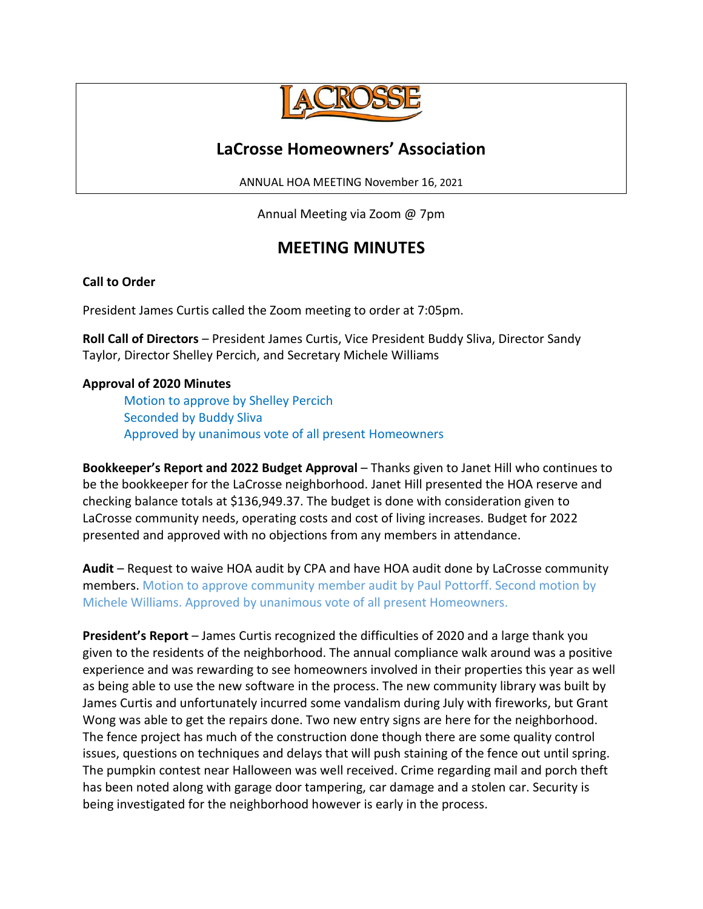

# **LaCrosse Homeowners' Association**

ANNUAL HOA MEETING November 16, 2021

Annual Meeting via Zoom @ 7pm

# **MEETING MINUTES**

## **Call to Order**

President James Curtis called the Zoom meeting to order at 7:05pm.

**Roll Call of Directors** – President James Curtis, Vice President Buddy Sliva, Director Sandy Taylor, Director Shelley Percich, and Secretary Michele Williams

### **Approval of 2020 Minutes**

Motion to approve by Shelley Percich Seconded by Buddy Sliva Approved by unanimous vote of all present Homeowners

**Bookkeeper's Report and 2022 Budget Approval** – Thanks given to Janet Hill who continues to be the bookkeeper for the LaCrosse neighborhood. Janet Hill presented the HOA reserve and checking balance totals at \$136,949.37. The budget is done with consideration given to LaCrosse community needs, operating costs and cost of living increases. Budget for 2022 presented and approved with no objections from any members in attendance.

**Audit** – Request to waive HOA audit by CPA and have HOA audit done by LaCrosse community members. Motion to approve community member audit by Paul Pottorff. Second motion by Michele Williams. Approved by unanimous vote of all present Homeowners.

**President's Report** – James Curtis recognized the difficulties of 2020 and a large thank you given to the residents of the neighborhood. The annual compliance walk around was a positive experience and was rewarding to see homeowners involved in their properties this year as well as being able to use the new software in the process. The new community library was built by James Curtis and unfortunately incurred some vandalism during July with fireworks, but Grant Wong was able to get the repairs done. Two new entry signs are here for the neighborhood. The fence project has much of the construction done though there are some quality control issues, questions on techniques and delays that will push staining of the fence out until spring. The pumpkin contest near Halloween was well received. Crime regarding mail and porch theft has been noted along with garage door tampering, car damage and a stolen car. Security is being investigated for the neighborhood however is early in the process.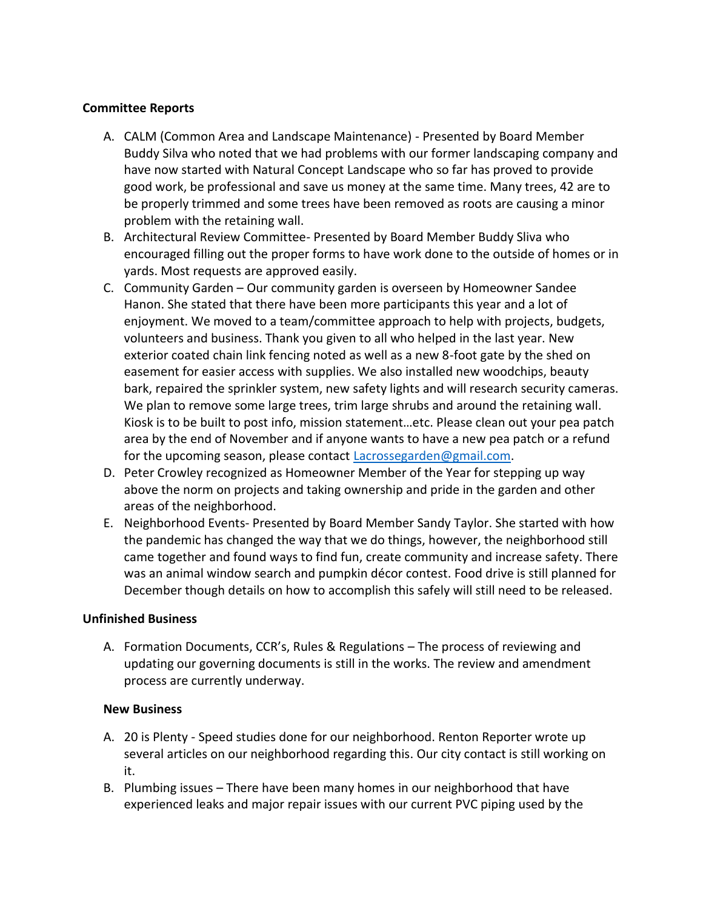#### **Committee Reports**

- A. CALM (Common Area and Landscape Maintenance) Presented by Board Member Buddy Silva who noted that we had problems with our former landscaping company and have now started with Natural Concept Landscape who so far has proved to provide good work, be professional and save us money at the same time. Many trees, 42 are to be properly trimmed and some trees have been removed as roots are causing a minor problem with the retaining wall.
- B. Architectural Review Committee- Presented by Board Member Buddy Sliva who encouraged filling out the proper forms to have work done to the outside of homes or in yards. Most requests are approved easily.
- C. Community Garden Our community garden is overseen by Homeowner Sandee Hanon. She stated that there have been more participants this year and a lot of enjoyment. We moved to a team/committee approach to help with projects, budgets, volunteers and business. Thank you given to all who helped in the last year. New exterior coated chain link fencing noted as well as a new 8-foot gate by the shed on easement for easier access with supplies. We also installed new woodchips, beauty bark, repaired the sprinkler system, new safety lights and will research security cameras. We plan to remove some large trees, trim large shrubs and around the retaining wall. Kiosk is to be built to post info, mission statement…etc. Please clean out your pea patch area by the end of November and if anyone wants to have a new pea patch or a refund for the upcoming season, please contact [Lacrossegarden@gmail.com.](mailto:Lacrossegarden@gmail.com)
- D. Peter Crowley recognized as Homeowner Member of the Year for stepping up way above the norm on projects and taking ownership and pride in the garden and other areas of the neighborhood.
- E. Neighborhood Events- Presented by Board Member Sandy Taylor. She started with how the pandemic has changed the way that we do things, however, the neighborhood still came together and found ways to find fun, create community and increase safety. There was an animal window search and pumpkin décor contest. Food drive is still planned for December though details on how to accomplish this safely will still need to be released.

#### **Unfinished Business**

A. Formation Documents, CCR's, Rules & Regulations – The process of reviewing and updating our governing documents is still in the works. The review and amendment process are currently underway.

#### **New Business**

- A. 20 is Plenty Speed studies done for our neighborhood. Renton Reporter wrote up several articles on our neighborhood regarding this. Our city contact is still working on it.
- B. Plumbing issues There have been many homes in our neighborhood that have experienced leaks and major repair issues with our current PVC piping used by the